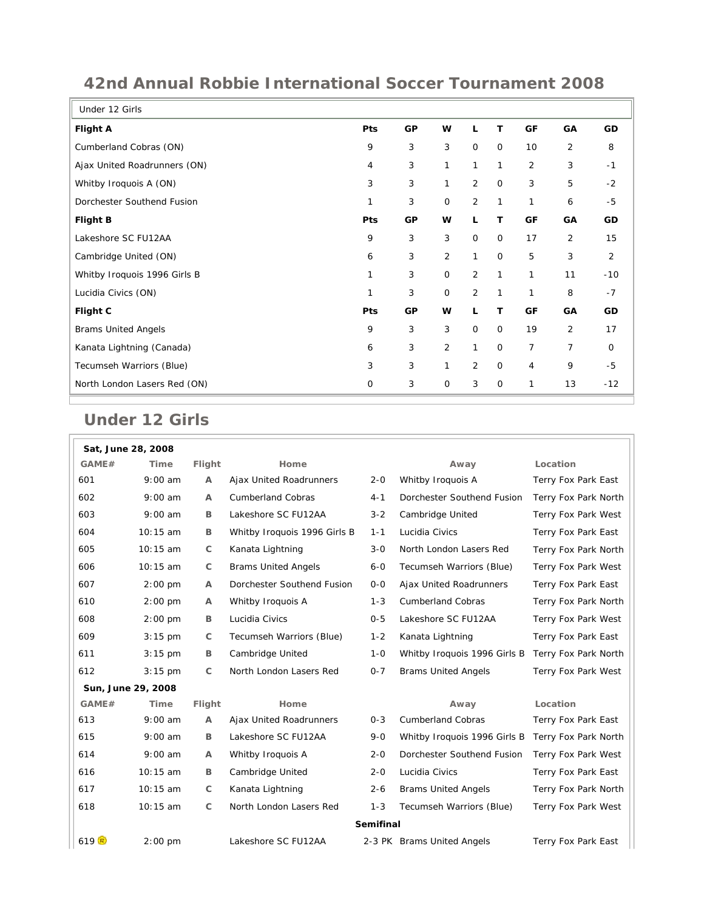| Under 12 Girls               |             |           |                |                |             |                |                |                |
|------------------------------|-------------|-----------|----------------|----------------|-------------|----------------|----------------|----------------|
| Flight A                     | <b>Pts</b>  | GP        | W              | L              | т           | GF             | GA             | GD             |
| Cumberland Cobras (ON)       | 9           | 3         | 3              | $\mathbf 0$    | $\mathbf 0$ | 10             | 2              | 8              |
| Ajax United Roadrunners (ON) | 4           | 3         | 1              | $\mathbf{1}$   | 1           | $\overline{2}$ | 3              | $-1$           |
| Whitby Iroquois A (ON)       | 3           | 3         | 1              | $\overline{2}$ | $\mathbf 0$ | 3              | 5              | $-2$           |
| Dorchester Southend Fusion   | 1           | 3         | $\mathbf 0$    | $\overline{2}$ | 1           | 1              | 6              | $-5$           |
| <b>Flight B</b>              | Pts         | <b>GP</b> | W              | L              | т           | GF             | GA             | GD             |
| Lakeshore SC FU12AA          | 9           | 3         | 3              | $\mathbf 0$    | $\mathbf 0$ | 17             | 2              | 15             |
| Cambridge United (ON)        | 6           | 3         | $\overline{2}$ | $\mathbf{1}$   | $\mathbf 0$ | 5              | 3              | $\overline{2}$ |
| Whitby Iroquois 1996 Girls B | 1           | 3         | $\mathsf{O}$   | $\overline{2}$ | 1           | 1              | 11             | $-10$          |
| Lucidia Civics (ON)          | 1           | 3         | 0              | $\overline{2}$ | 1           | 1              | 8              | $-7$           |
| Flight C                     | Pts         | GP        | w              | L              | т           | GF             | GA             | GD             |
| <b>Brams United Angels</b>   | 9           | 3         | 3              | $\mathbf 0$    | $\mathbf 0$ | 19             | 2              | 17             |
| Kanata Lightning (Canada)    | 6           | 3         | $\overline{2}$ | $\mathbf{1}$   | $\mathbf 0$ | $\overline{7}$ | $\overline{7}$ | $\mathbf 0$    |
| Tecumseh Warriors (Blue)     | 3           | 3         | 1              | $\overline{2}$ | $\mathbf 0$ | 4              | 9              | $-5$           |
| North London Lasers Red (ON) | $\mathbf 0$ | 3         | 0              | 3              | $\mathbf 0$ | 1              | 13             | $-12$          |

## **42nd Annual Robbie International Soccer Tournament 2008**

## **Under 12 Girls**

|                    | Sat, June 28, 2008 |                |                              |         |                              |                      |  |
|--------------------|--------------------|----------------|------------------------------|---------|------------------------------|----------------------|--|
| GAME#              | Time               | Flight         | Home                         |         | Away                         | Location             |  |
| 601                | $9:00$ am          | $\mathsf{A}$   | Ajax United Roadrunners      | $2 - 0$ | Whitby Iroquois A            | Terry Fox Park East  |  |
| 602                | $9:00$ am          | $\overline{A}$ | Cumberland Cobras            | $4 - 1$ | Dorchester Southend Fusion   | Terry Fox Park North |  |
| 603                | $9:00$ am          | B              | Lakeshore SC FU12AA          | $3 - 2$ | Cambridge United             | Terry Fox Park West  |  |
| 604                | 10:15 am           | B              | Whitby Iroquois 1996 Girls B | $1 - 1$ | Lucidia Civics               | Terry Fox Park East  |  |
| 605                | 10:15 am           | C              | Kanata Lightning             | $3 - 0$ | North London Lasers Red      | Terry Fox Park North |  |
| 606                | 10:15 am           | $\mathsf{C}$   | <b>Brams United Angels</b>   | $6-0$   | Tecumseh Warriors (Blue)     | Terry Fox Park West  |  |
| 607                | $2:00$ pm          | Α              | Dorchester Southend Fusion   | $0-0$   | Ajax United Roadrunners      | Terry Fox Park East  |  |
| 610                | $2:00$ pm          | $\overline{A}$ | Whitby Iroquois A            | $1 - 3$ | <b>Cumberland Cobras</b>     | Terry Fox Park North |  |
| 608                | $2:00$ pm          | B              | Lucidia Civics               | $0 - 5$ | Lakeshore SC FU12AA          | Terry Fox Park West  |  |
| 609                | $3:15$ pm          | C              | Tecumseh Warriors (Blue)     | $1 - 2$ | Kanata Lightning             | Terry Fox Park East  |  |
| 611                | $3:15$ pm          | B              | Cambridge United             | $1 - 0$ | Whitby Iroquois 1996 Girls B | Terry Fox Park North |  |
| 612                | $3:15$ pm          | $\mathsf{C}$   | North London Lasers Red      | $0 - 7$ | <b>Brams United Angels</b>   | Terry Fox Park West  |  |
| Sun, June 29, 2008 |                    |                |                              |         |                              |                      |  |
| GAME#              | <b>Time</b>        | Flight         | Home                         |         | Away                         | Location             |  |
| 613                | $9:00$ am          | $\mathsf{A}$   | Ajax United Roadrunners      | $0 - 3$ | <b>Cumberland Cobras</b>     | Terry Fox Park East  |  |
| 615                | $9:00$ am          | B              | Lakeshore SC FU12AA          | $9 - 0$ | Whitby Iroquois 1996 Girls B | Terry Fox Park North |  |
| 614                | $9:00$ am          | А              | Whitby Iroquois A            | $2 - 0$ | Dorchester Southend Fusion   | Terry Fox Park West  |  |
| 616                | 10:15 am           | B              | Cambridge United             | $2 - 0$ | Lucidia Civics               | Terry Fox Park East  |  |
| 617                | 10:15 am           | $\mathsf{C}$   | Kanata Lightning             | $2 - 6$ | <b>Brams United Angels</b>   | Terry Fox Park North |  |
| 618                | 10:15 am           | C              | North London Lasers Red      | $1 - 3$ | Tecumseh Warriors (Blue)     | Terry Fox Park West  |  |
| Semifinal          |                    |                |                              |         |                              |                      |  |
| 619 $F$            | $2:00$ pm          |                | Lakeshore SC FU12AA          |         | 2-3 PK Brams United Angels   | Terry Fox Park East  |  |